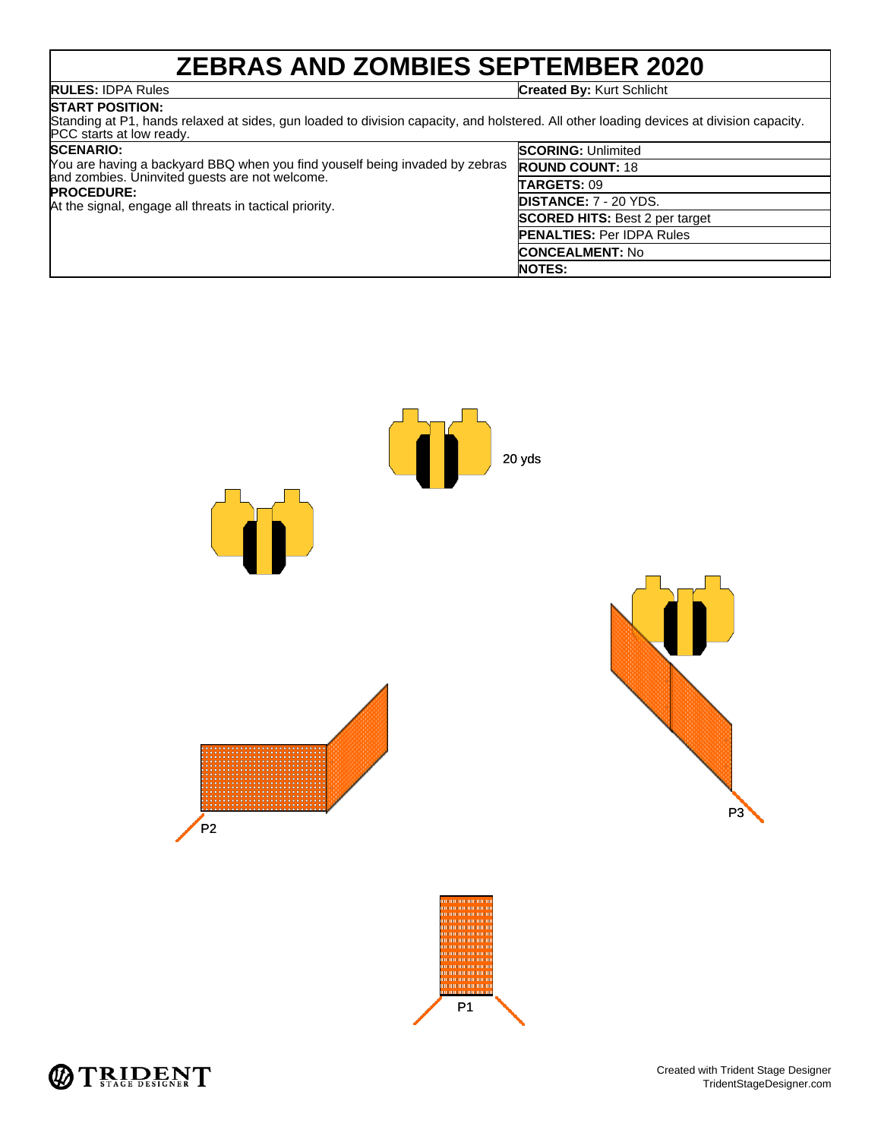# **ZEBRAS AND ZOMBIES SEPTEMBER 2020**

**RULES:** IDPA Rules **Created By:** Kurt Schlicht

## **START POSITION:**

Standing at P1, hands relaxed at sides, gun loaded to division capacity, and holstered. All other loading devices at division capacity. PCC starts at low ready.

| <b>SCENARIO:</b>                                                                                                                                                                                              | <b>SCORING: Unlimited</b>             |
|---------------------------------------------------------------------------------------------------------------------------------------------------------------------------------------------------------------|---------------------------------------|
| You are having a backyard BBQ when you find youself being invaded by zebras<br>and zombies. Uninvited guests are not welcome.<br><b>PROCEDURE:</b><br>At the signal, engage all threats in tactical priority. | <b>ROUND COUNT: 18</b>                |
|                                                                                                                                                                                                               | TARGETS: 09                           |
|                                                                                                                                                                                                               | <b>DISTANCE: 7 - 20 YDS.</b>          |
|                                                                                                                                                                                                               | <b>SCORED HITS: Best 2 per target</b> |
|                                                                                                                                                                                                               | <b>PENALTIES: Per IDPA Rules</b>      |
|                                                                                                                                                                                                               | <b>CONCEALMENT: No</b>                |
|                                                                                                                                                                                                               | <b>NOTES:</b>                         |



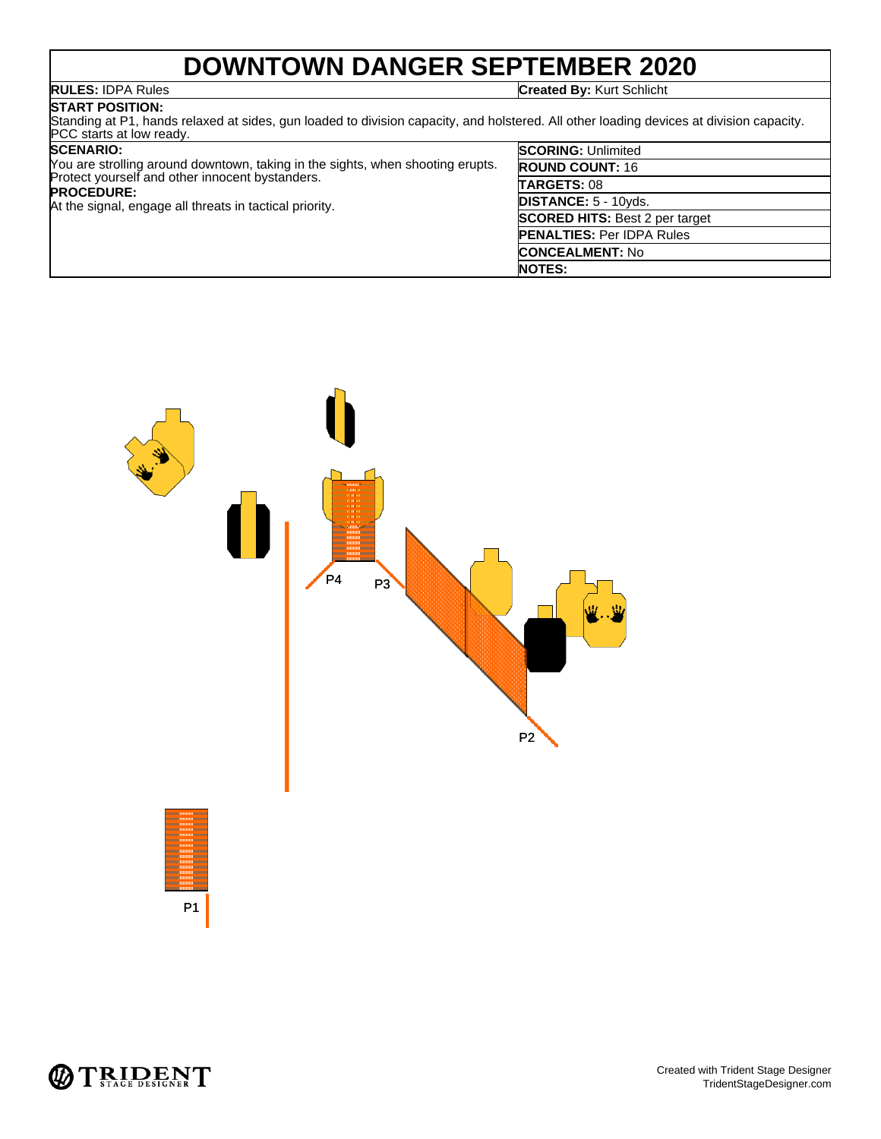## **DOWNTOWN DANGER SEPTEMBER 2020**

**RULES:** IDPA Rules **Created By:** Kurt Schlicht

### **START POSITION:**

Standing at P1, hands relaxed at sides, gun loaded to division capacity, and holstered. All other loading devices at division capacity. PCC starts at low ready.

### **SCENARIO:**

|                                                                                | <b>NOTES:</b>                         |
|--------------------------------------------------------------------------------|---------------------------------------|
|                                                                                | <b>CONCEALMENT: No</b>                |
|                                                                                | <b>PENALTIES: Per IDPA Rules</b>      |
|                                                                                | <b>SCORED HITS: Best 2 per target</b> |
| At the signal, engage all threats in tactical priority.                        | <b>DISTANCE: 5 - 10yds.</b>           |
| Protect yourself and other innocent bystanders.<br><b>PROCEDURE:</b>           | TARGETS: 08                           |
| Nou are strolling around downtown, taking in the sights, when shooting erupts. | <b>ROUND COUNT: 16</b>                |
| <b>SCENARIO:</b>                                                               | <b>SCORING: Unlimited</b>             |



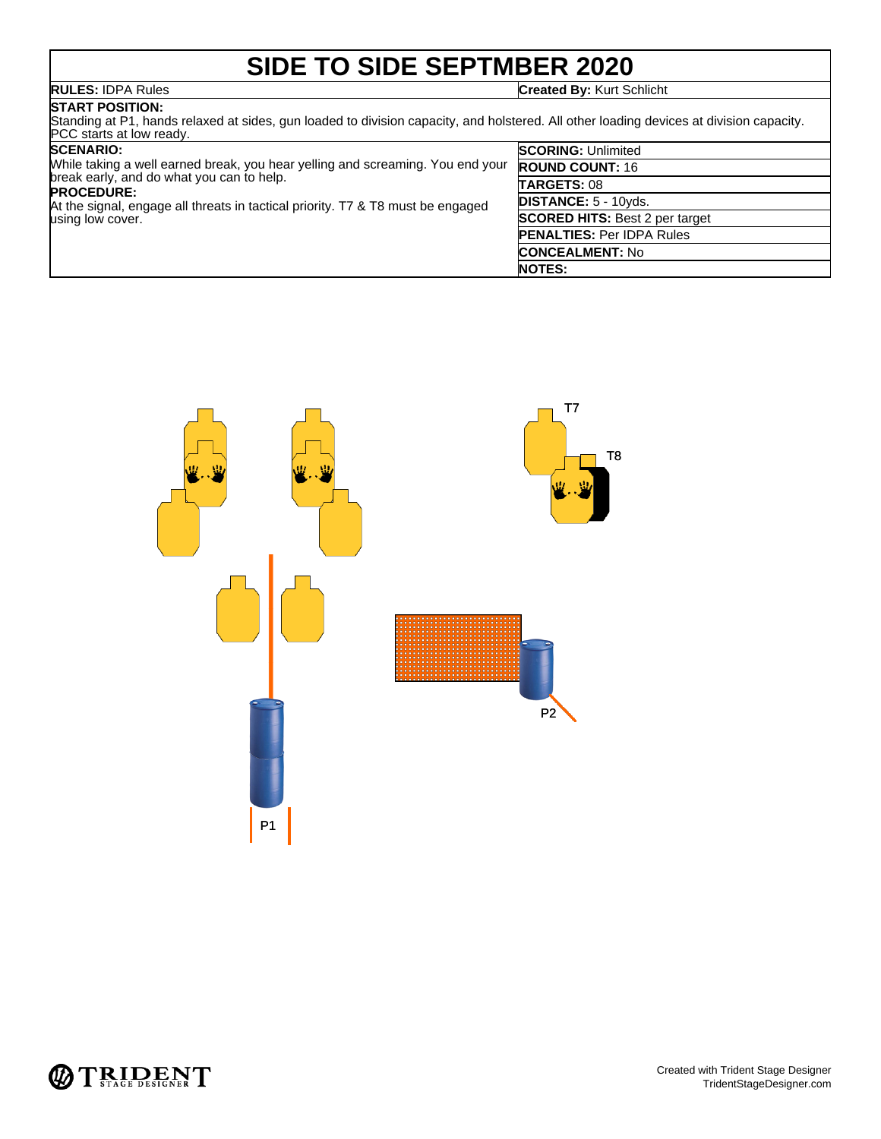# **SIDE TO SIDE SEPTMBER 2020**

**RULES:** IDPA Rules **Created By:** Kurt Schlicht

## **START POSITION:**

Standing at P1, hands relaxed at sides, gun loaded to division capacity, and holstered. All other loading devices at division capacity. PCC starts at low ready.

### **SCENARIO:**

| <b>SCENARIO:</b><br>While taking a well earned break, you hear yelling and screaming. You end your<br>break early, and do what you can to help.<br><b>PROCEDURE:</b><br>At the signal, engage all threats in tactical priority. T7 & T8 must be engaged<br>using low cover. | <b>SCORING: Unlimited</b>             |
|-----------------------------------------------------------------------------------------------------------------------------------------------------------------------------------------------------------------------------------------------------------------------------|---------------------------------------|
|                                                                                                                                                                                                                                                                             | <b>ROUND COUNT: 16</b>                |
|                                                                                                                                                                                                                                                                             | <b>TARGETS: 08</b>                    |
|                                                                                                                                                                                                                                                                             | <b>DISTANCE: 5 - 10yds.</b>           |
|                                                                                                                                                                                                                                                                             | <b>SCORED HITS: Best 2 per target</b> |
|                                                                                                                                                                                                                                                                             | <b>PENALTIES: Per IDPA Rules</b>      |
|                                                                                                                                                                                                                                                                             | <b>CONCEALMENT: No</b>                |
|                                                                                                                                                                                                                                                                             | <b>NOTES:</b>                         |



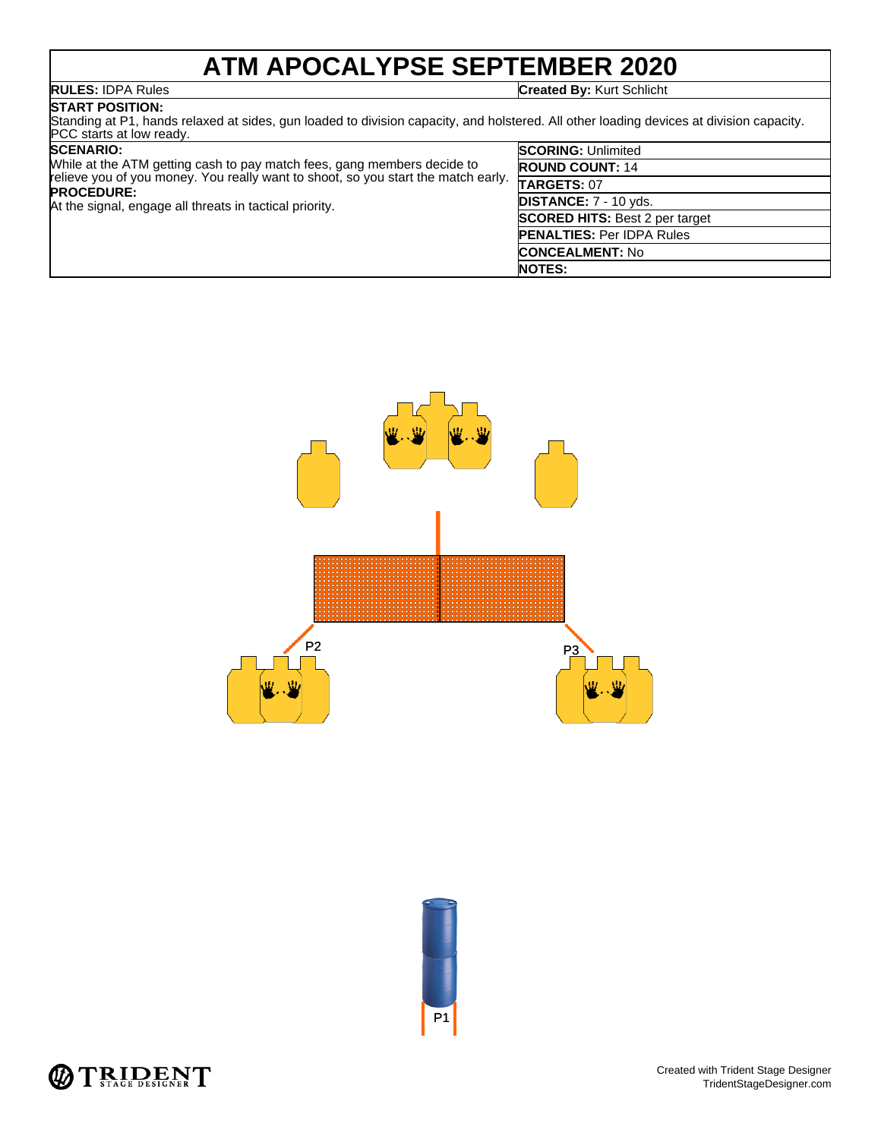# **ATM APOCALYPSE SEPTEMBER 2020**

**RULES:** IDPA Rules **Created By:** Kurt Schlicht

### **START POSITION:**

Standing at P1, hands relaxed at sides, gun loaded to division capacity, and holstered. All other loading devices at division capacity. PCC starts at low ready.

| <b>SCENARIO:</b>                                                                                       | <b>SCORING: Unlimited</b>             |
|--------------------------------------------------------------------------------------------------------|---------------------------------------|
| While at the ATM getting cash to pay match fees, gang members decide to                                | <b>ROUND COUNT: 14</b>                |
| relieve you of you money. You really want to shoot, so you start the match early.<br><b>PROCEDURE:</b> | <b>TARGETS: 07</b>                    |
| At the signal, engage all threats in tactical priority.                                                | <b>DISTANCE:</b> 7 - 10 yds.          |
|                                                                                                        | <b>SCORED HITS:</b> Best 2 per target |
|                                                                                                        | <b>PENALTIES: Per IDPA Rules</b>      |
|                                                                                                        | <b>CONCEALMENT: No</b>                |
|                                                                                                        | <b>NOTES:</b>                         |





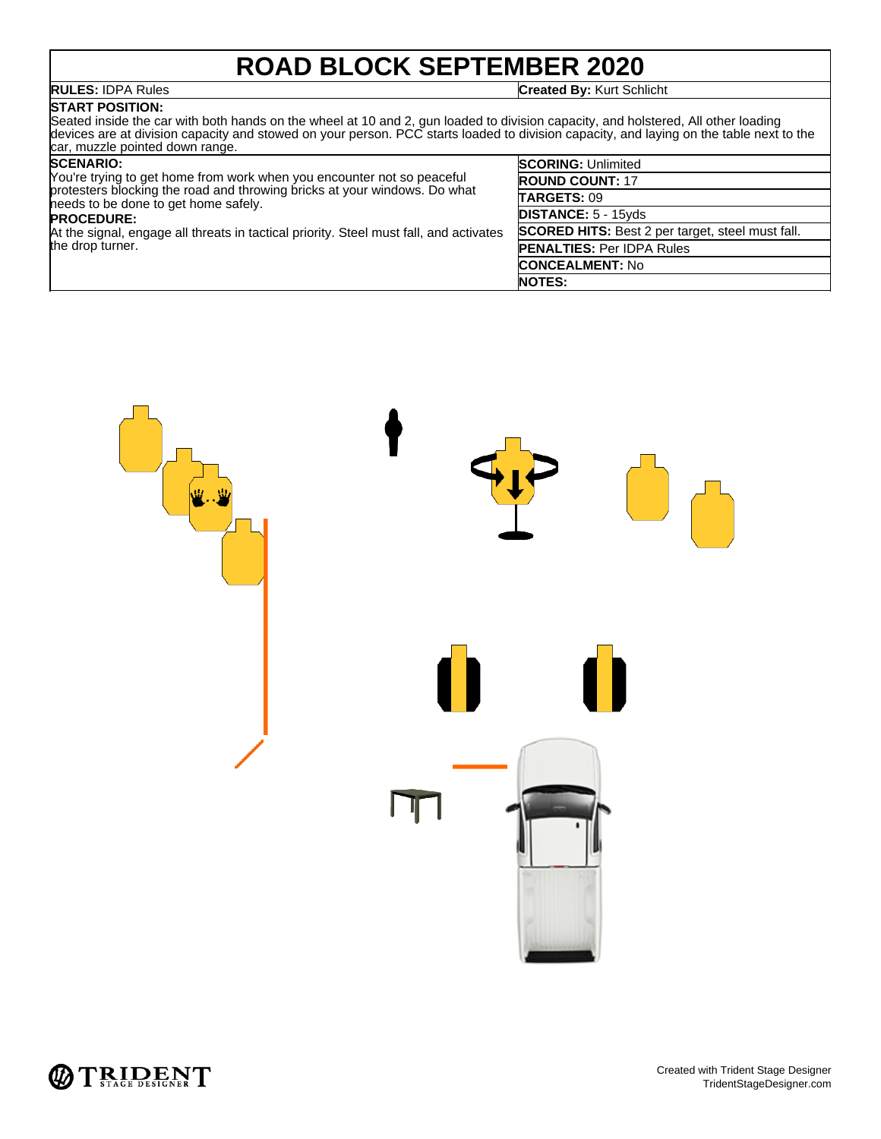# **ROAD BLOCK SEPTEMBER 2020**

**RULES:** IDPA Rules **Created By:** Kurt Schlicht

### **START POSITION:**

Seated inside the car with both hands on the wheel at 10 and 2, gun loaded to division capacity, and holstered, All other loading devices are at division capacity and stowed on your person. PCC starts loaded to division capacity, and laying on the table next to the car, muzzle pointed down range.

### **SCENARIO:**

You're trying to get home from work when you encounter not so peaceful protesters blocking the road and throwing bricks at your windows. Do what needs to be done to get home safely. **PROCEDURE:**

At the signal, engage all threats in tactical priority. Steel must fall, and activates the drop turner.

| <b>SCORING: Unlimited</b>                               |
|---------------------------------------------------------|
| <b>ROUND COUNT: 17</b>                                  |
| TARGETS: 09                                             |
| <b>DISTANCE: 5 - 15yds</b>                              |
| <b>SCORED HITS:</b> Best 2 per target, steel must fall. |
| <b>PENALTIES: Per IDPA Rules</b>                        |
| <b>CONCEALMENT: No</b>                                  |
| <b>NOTES:</b>                                           |



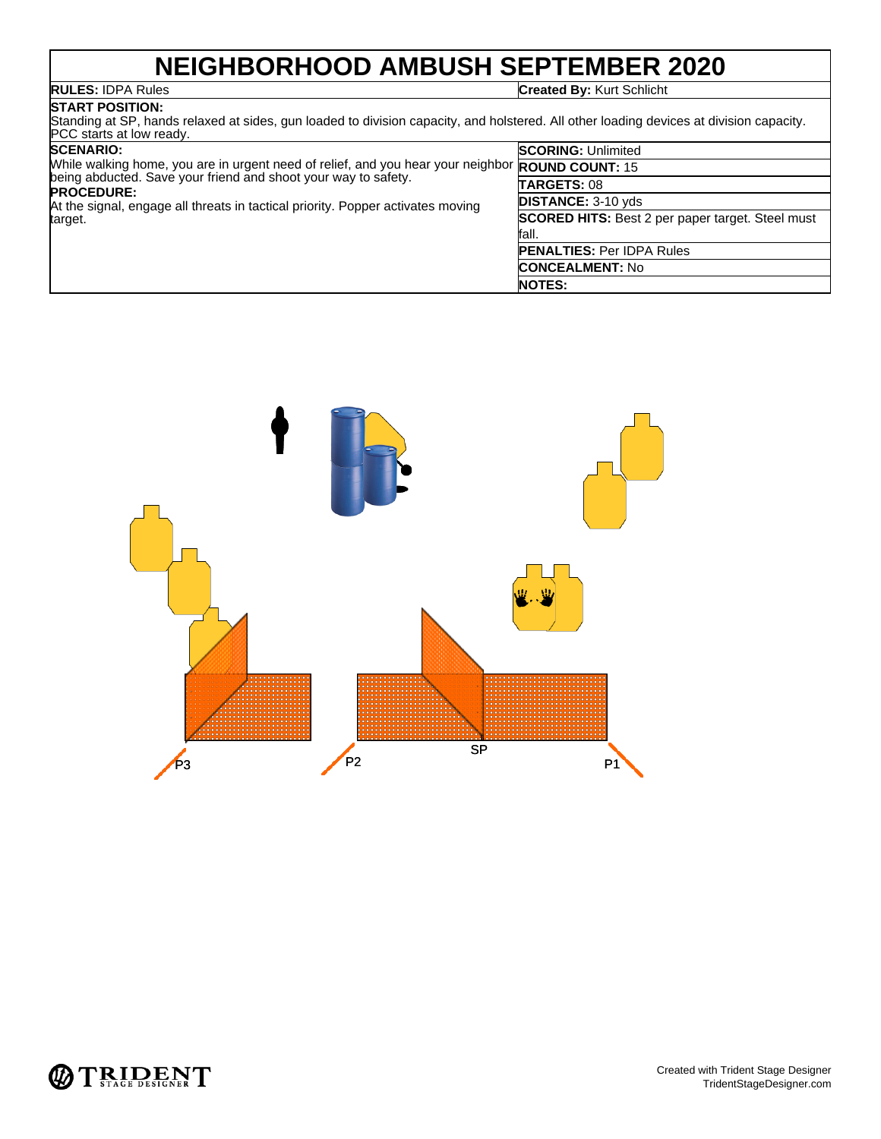## **NEIGHBORHOOD AMBUSH SEPTEMBER 2020**

**RULES:** IDPA Rules **Created By:** Kurt Schlicht

### **START POSITION:**

Standing at SP, hands relaxed at sides, gun loaded to division capacity, and holstered. All other loading devices at division capacity. PCC starts at low ready.

| <b>SCENARIO:</b>                                                                                        | <b>SCORING: Unlimited</b>                               |
|---------------------------------------------------------------------------------------------------------|---------------------------------------------------------|
| While walking home, you are in urgent need of relief, and you hear your neighbor <b>ROUND COUNT:</b> 15 |                                                         |
| being abducted. Save your friend and shoot your way to safety.<br><b>PROCEDURE:</b>                     | TARGETS: 08                                             |
| At the signal, engage all threats in tactical priority. Popper activates moving                         | <b>DISTANCE: 3-10 yds</b>                               |
| target.                                                                                                 | <b>SCORED HITS:</b> Best 2 per paper target. Steel must |
|                                                                                                         | fall.                                                   |
|                                                                                                         | <b>PENALTIES: Per IDPA Rules</b>                        |
|                                                                                                         | <b>CONCEALMENT: No</b>                                  |
|                                                                                                         | <b>NOTES:</b>                                           |